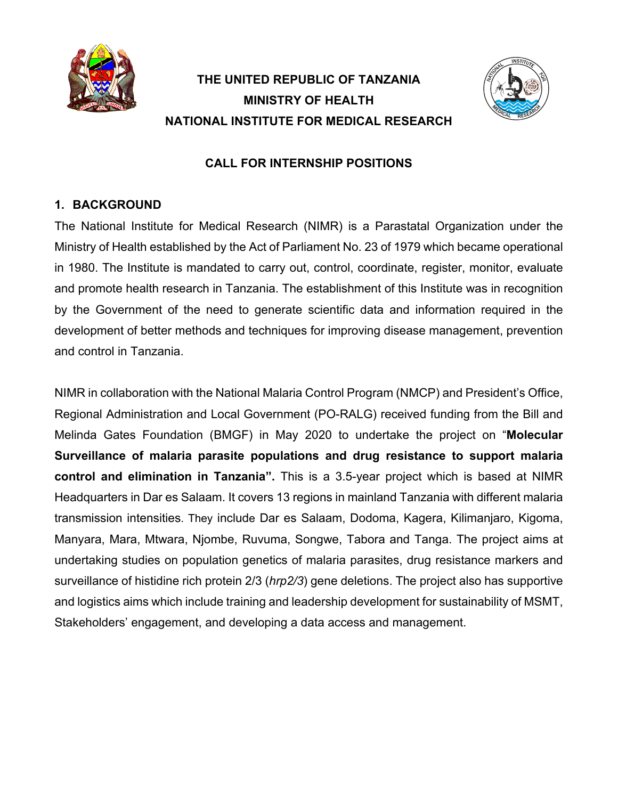

# **THE UNITED REPUBLIC OF TANZANIA MINISTRY OF HEALTH NATIONAL INSTITUTE FOR MEDICAL RESEARCH**



## **CALL FOR INTERNSHIP POSITIONS**

# **1. BACKGROUND**

The National Institute for Medical Research (NIMR) is a Parastatal Organization under the Ministry of Health established by the Act of Parliament No. 23 of 1979 which became operational in 1980. The Institute is mandated to carry out, control, coordinate, register, monitor, evaluate and promote health research in Tanzania. The establishment of this Institute was in recognition by the Government of the need to generate scientific data and information required in the development of better methods and techniques for improving disease management, prevention and control in Tanzania.

NIMR in collaboration with the National Malaria Control Program (NMCP) and President's Office, Regional Administration and Local Government (PO-RALG) received funding from the Bill and Melinda Gates Foundation (BMGF) in May 2020 to undertake the project on "**Molecular Surveillance of malaria parasite populations and drug resistance to support malaria control and elimination in Tanzania".** This is a 3.5-year project which is based at NIMR Headquarters in Dar es Salaam. It covers 13 regions in mainland Tanzania with different malaria transmission intensities. They include Dar es Salaam, Dodoma, Kagera, Kilimanjaro, Kigoma, Manyara, Mara, Mtwara, Njombe, Ruvuma, Songwe, Tabora and Tanga. The project aims at undertaking studies on population genetics of malaria parasites, drug resistance markers and surveillance of histidine rich protein 2/3 (*hrp2/3*) gene deletions. The project also has supportive and logistics aims which include training and leadership development for sustainability of MSMT, Stakeholders' engagement, and developing a data access and management.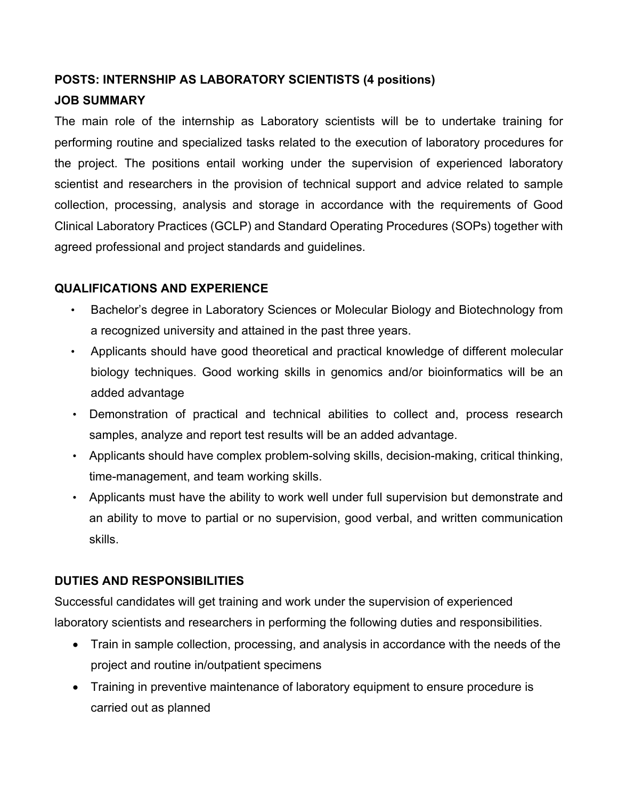## **POSTS: INTERNSHIP AS LABORATORY SCIENTISTS (4 positions)**

## **JOB SUMMARY**

The main role of the internship as Laboratory scientists will be to undertake training for performing routine and specialized tasks related to the execution of laboratory procedures for the project. The positions entail working under the supervision of experienced laboratory scientist and researchers in the provision of technical support and advice related to sample collection, processing, analysis and storage in accordance with the requirements of Good Clinical Laboratory Practices (GCLP) and Standard Operating Procedures (SOPs) together with agreed professional and project standards and guidelines.

## **QUALIFICATIONS AND EXPERIENCE**

- Bachelor's degree in Laboratory Sciences or Molecular Biology and Biotechnology from a recognized university and attained in the past three years.
- Applicants should have good theoretical and practical knowledge of different molecular biology techniques. Good working skills in genomics and/or bioinformatics will be an added advantage
- Demonstration of practical and technical abilities to collect and, process research samples, analyze and report test results will be an added advantage.
- Applicants should have complex problem-solving skills, decision-making, critical thinking, time-management, and team working skills.
- Applicants must have the ability to work well under full supervision but demonstrate and an ability to move to partial or no supervision, good verbal, and written communication skills.

## **DUTIES AND RESPONSIBILITIES**

Successful candidates will get training and work under the supervision of experienced laboratory scientists and researchers in performing the following duties and responsibilities.

- Train in sample collection, processing, and analysis in accordance with the needs of the project and routine in/outpatient specimens
- Training in preventive maintenance of laboratory equipment to ensure procedure is carried out as planned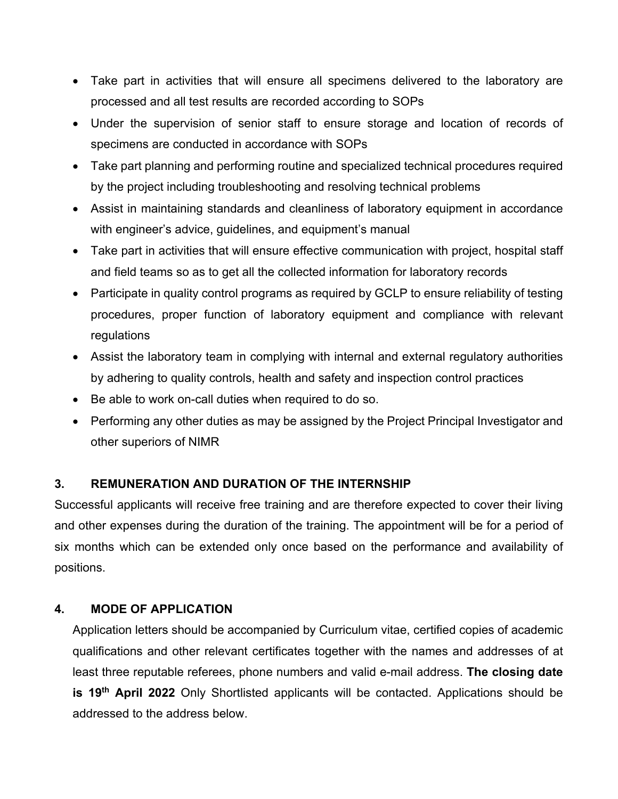- Take part in activities that will ensure all specimens delivered to the laboratory are processed and all test results are recorded according to SOPs
- Under the supervision of senior staff to ensure storage and location of records of specimens are conducted in accordance with SOPs
- Take part planning and performing routine and specialized technical procedures required by the project including troubleshooting and resolving technical problems
- Assist in maintaining standards and cleanliness of laboratory equipment in accordance with engineer's advice, guidelines, and equipment's manual
- Take part in activities that will ensure effective communication with project, hospital staff and field teams so as to get all the collected information for laboratory records
- Participate in quality control programs as required by GCLP to ensure reliability of testing procedures, proper function of laboratory equipment and compliance with relevant regulations
- Assist the laboratory team in complying with internal and external regulatory authorities by adhering to quality controls, health and safety and inspection control practices
- Be able to work on-call duties when required to do so.
- Performing any other duties as may be assigned by the Project Principal Investigator and other superiors of NIMR

#### **3. REMUNERATION AND DURATION OF THE INTERNSHIP**

Successful applicants will receive free training and are therefore expected to cover their living and other expenses during the duration of the training. The appointment will be for a period of six months which can be extended only once based on the performance and availability of positions.

#### **4. MODE OF APPLICATION**

Application letters should be accompanied by Curriculum vitae, certified copies of academic qualifications and other relevant certificates together with the names and addresses of at least three reputable referees, phone numbers and valid e-mail address. **The closing date is 19th April 2022** Only Shortlisted applicants will be contacted. Applications should be addressed to the address below.